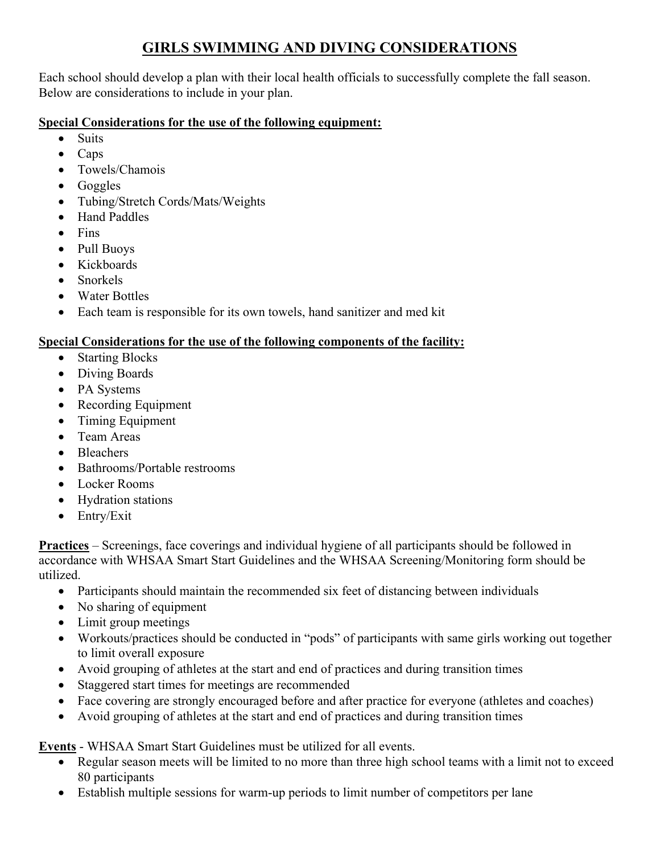# **GIRLS SWIMMING AND DIVING CONSIDERATIONS**

Each school should develop a plan with their local health officials to successfully complete the fall season. Below are considerations to include in your plan.

## **Special Considerations for the use of the following equipment:**

- Suits
- Caps
- Towels/Chamois
- Goggles
- Tubing/Stretch Cords/Mats/Weights
- Hand Paddles
- Fins
- Pull Buoys
- Kickboards
- Snorkels
- Water Bottles
- Each team is responsible for its own towels, hand sanitizer and med kit

## **Special Considerations for the use of the following components of the facility:**

- Starting Blocks
- Diving Boards
- PA Systems
- Recording Equipment
- Timing Equipment
- Team Areas
- **Bleachers**
- Bathrooms/Portable restrooms
- Locker Rooms
- Hydration stations
- Entry/Exit

**Practices** – Screenings, face coverings and individual hygiene of all participants should be followed in accordance with WHSAA Smart Start Guidelines and the WHSAA Screening/Monitoring form should be utilized.

- Participants should maintain the recommended six feet of distancing between individuals
- No sharing of equipment
- Limit group meetings
- Workouts/practices should be conducted in "pods" of participants with same girls working out together to limit overall exposure
- Avoid grouping of athletes at the start and end of practices and during transition times
- Staggered start times for meetings are recommended
- Face covering are strongly encouraged before and after practice for everyone (athletes and coaches)
- Avoid grouping of athletes at the start and end of practices and during transition times

**Events** - WHSAA Smart Start Guidelines must be utilized for all events.

- Regular season meets will be limited to no more than three high school teams with a limit not to exceed 80 participants
- Establish multiple sessions for warm-up periods to limit number of competitors per lane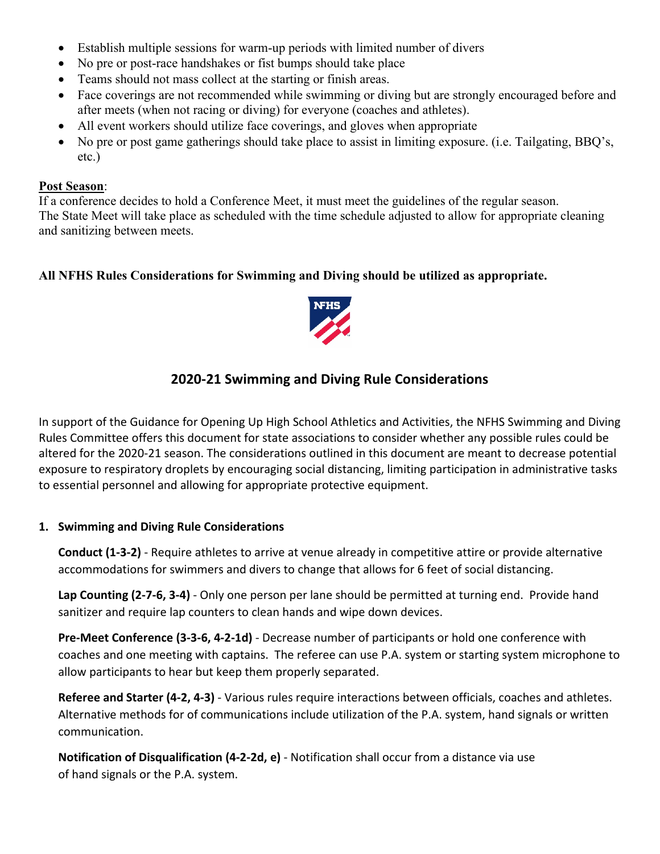- Establish multiple sessions for warm-up periods with limited number of divers
- No pre or post-race handshakes or fist bumps should take place
- Teams should not mass collect at the starting or finish areas.
- Face coverings are not recommended while swimming or diving but are strongly encouraged before and after meets (when not racing or diving) for everyone (coaches and athletes).
- All event workers should utilize face coverings, and gloves when appropriate
- No pre or post game gatherings should take place to assist in limiting exposure. (i.e. Tailgating, BBQ's, etc.)

#### **Post Season**:

If a conference decides to hold a Conference Meet, it must meet the guidelines of the regular season. The State Meet will take place as scheduled with the time schedule adjusted to allow for appropriate cleaning and sanitizing between meets.

## **All NFHS Rules Considerations for Swimming and Diving should be utilized as appropriate.**



# **2020-21 Swimming and Diving Rule Considerations**

In support of the Guidance for Opening Up High School Athletics and Activities, the NFHS Swimming and Diving Rules Committee offers this document for state associations to consider whether any possible rules could be altered for the 2020-21 season. The considerations outlined in this document are meant to decrease potential exposure to respiratory droplets by encouraging social distancing, limiting participation in administrative tasks to essential personnel and allowing for appropriate protective equipment.

#### **1. Swimming and Diving Rule Considerations**

 **Conduct (1-3-2)** - Require athletes to arrive at venue already in competitive attire or provide alternative accommodations for swimmers and divers to change that allows for 6 feet of social distancing.

**Lap Counting (2-7-6, 3-4)** - Only one person per lane should be permitted at turning end. Provide hand sanitizer and require lap counters to clean hands and wipe down devices.

**Pre-Meet Conference (3-3-6, 4-2-1d)** - Decrease number of participants or hold one conference with coaches and one meeting with captains. The referee can use P.A. system or starting system microphone to allow participants to hear but keep them properly separated.

**Referee and Starter (4-2, 4-3)** - Various rules require interactions between officials, coaches and athletes. Alternative methods for of communications include utilization of the P.A. system, hand signals or written communication.

**Notification of Disqualification (4-2-2d, e)** - Notification shall occur from a distance via use of hand signals or the P.A. system.